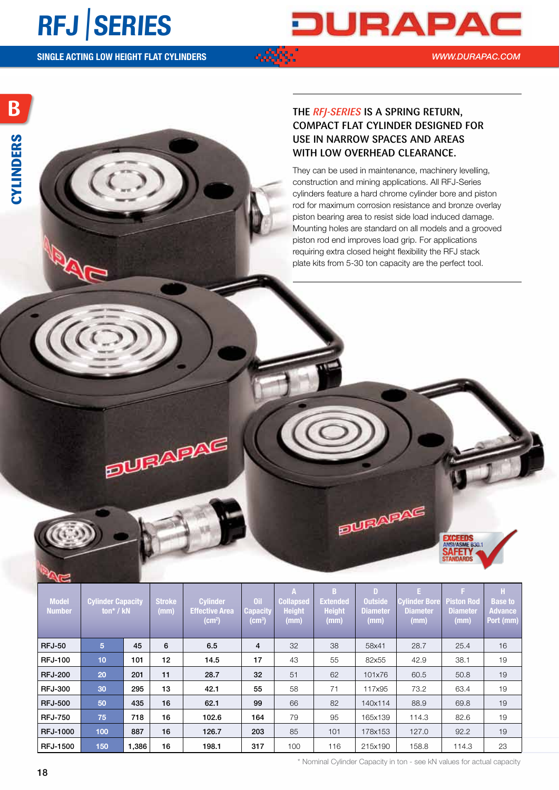## **RFJ** |**SERIES**

**B**

**CYLINDERS**

CYLINDERS



*WWW.DURAPAC.COM*

**SINGLE ACTING LOW HEIGHT FLAT CYLINDERS**

**ELURAPAS** 

## The *RFJ-series* is a spring return, compact flat cylinder designed for use in narrow spaces and areas with low overhead clearance.

They can be used in maintenance, machinery levelling, construction and mining applications. All RFJ-Series cylinders feature a hard chrome cylinder bore and piston rod for maximum corrosion resistance and bronze overlay piston bearing area to resist side load induced damage. Mounting holes are standard on all models and a grooved piston rod end improves load grip. For applications requiring extra closed height flexibility the RFJ stack plate kits from 5-30 ton capacity are the perfect tool.

| <b>Model</b><br>Number | Cylinder Capacity Stroke<br>ton* / kN |       | (mm) | <b>Cylinder</b><br><b>Effective Area</b><br>(cm <sup>2</sup> ) | apacıty<br>(cm <sup>3</sup> ) | <b>Height</b><br>(mn) | Collapsed Extended Outside<br><b>Height</b><br>(mm) | <b>Diameter</b><br>(mm) | <b>Diameter</b><br>(mm) | Cylinder Bore Piston Rod   Base to<br><b>Diameter</b><br>(mm) | <b>Advance</b><br>Port (mm) |
|------------------------|---------------------------------------|-------|------|----------------------------------------------------------------|-------------------------------|-----------------------|-----------------------------------------------------|-------------------------|-------------------------|---------------------------------------------------------------|-----------------------------|
| <b>RFJ-50</b>          |                                       | 45    |      | 6.5                                                            |                               | 32                    | 38                                                  | 58x41                   | 28.7                    | 25.4                                                          | 16                          |
| <b>RFJ-100</b>         | $\sqrt{10}$                           | 101   | 12   | 14.5                                                           | 17                            | 43                    | 55                                                  | 82x55                   | 42.9                    | 38.1                                                          | 19                          |
| <b>RFJ-200</b>         | 20                                    | 201   | 11   | 28.7                                                           | 32                            | 51                    | 62                                                  | 101x76                  | 60.5                    | 50.8                                                          | 19                          |
| <b>RFJ-300</b>         | 30                                    | 295   | 13   | 42.1                                                           | 55                            | 58                    | 71                                                  | 117x95                  | 73.2                    | 63.4                                                          | 19                          |
| <b>RFJ-500</b>         | 50                                    | 435   | 16   | 62.1                                                           | 99                            | 66                    | 82                                                  | 140x114                 | 88.9                    | 69.8                                                          | 19                          |
| <b>RFJ-750</b>         | 75                                    | 718   | 16   | 102.6                                                          | 164                           | 79                    | 95                                                  | 165x139                 | 114.3                   | 82.6                                                          | 19                          |
| <b>RFJ-1000</b>        | 100                                   | 887   | 16   | 126.7                                                          | 203                           | 85                    | 101                                                 | 178x153                 | 127.0                   | 92.2                                                          | 19                          |
| <b>RFJ-1500</b>        | 150                                   | 1,386 | 16   | 198.1                                                          | 317                           | 100                   | 116                                                 | 215x190                 | 158.8                   | 114.3                                                         | 23                          |

\* Nominal Cylinder Capacity in ton - see kN values for actual capacity

**ELURADAS** 

**EXCEEDS VASME B30.1** FET